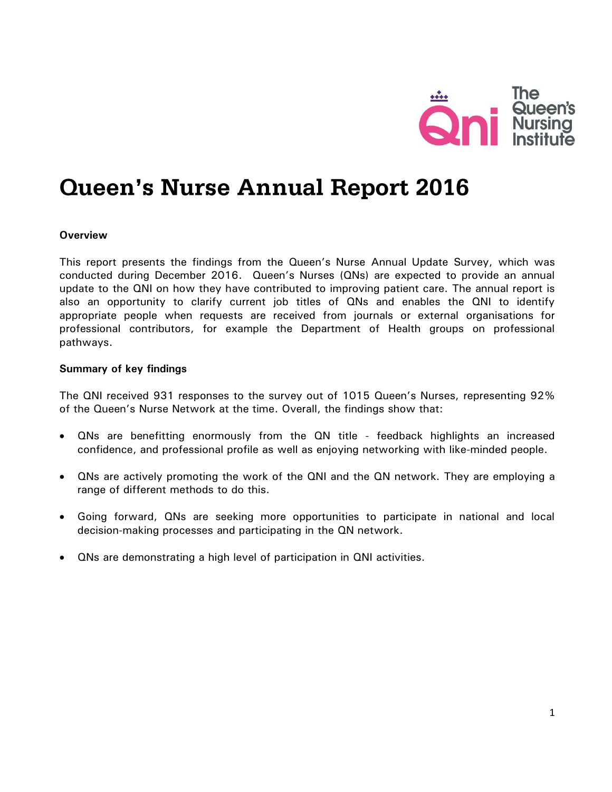

# **Queen's Nurse Annual Report 2016**

#### **Overview**

This report presents the findings from the Queen's Nurse Annual Update Survey, which was conducted during December 2016. Queen's Nurses (QNs) are expected to provide an annual update to the QNI on how they have contributed to improving patient care. The annual report is also an opportunity to clarify current job titles of QNs and enables the QNI to identify appropriate people when requests are received from journals or external organisations for professional contributors, for example the Department of Health groups on professional pathways.

#### **Summary of key findings**

The QNI received 931 responses to the survey out of 1015 Queen's Nurses, representing 92% of the Queen's Nurse Network at the time. Overall, the findings show that:

- QNs are benefitting enormously from the QN title feedback highlights an increased confidence, and professional profile as well as enjoying networking with like-minded people.
- QNs are actively promoting the work of the QNI and the QN network. They are employing a range of different methods to do this.
- Going forward, QNs are seeking more opportunities to participate in national and local decision-making processes and participating in the QN network.
- QNs are demonstrating a high level of participation in QNI activities.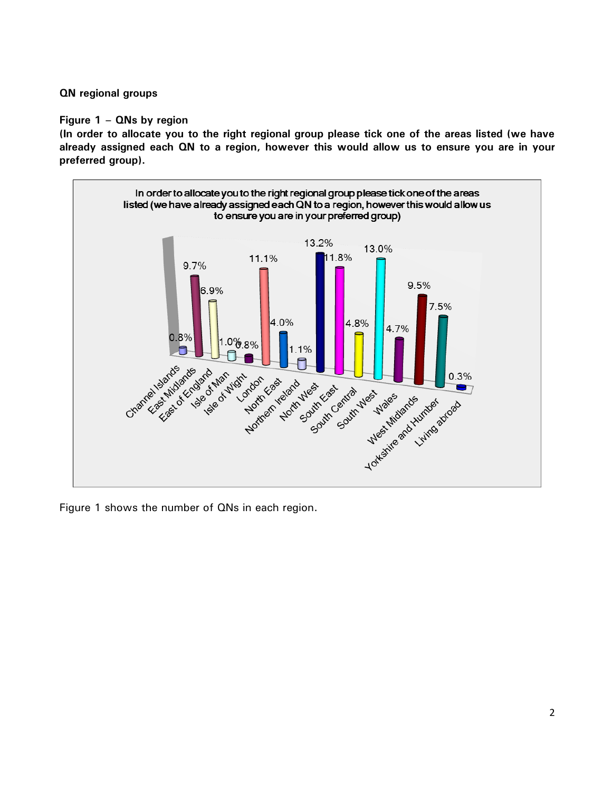## **QN regional groups**

## **Figure 1 – QNs by region**

**(In order to allocate you to the right regional group please tick one of the areas listed (we have already assigned each QN to a region, however this would allow us to ensure you are in your preferred group).**



Figure 1 shows the number of QNs in each region.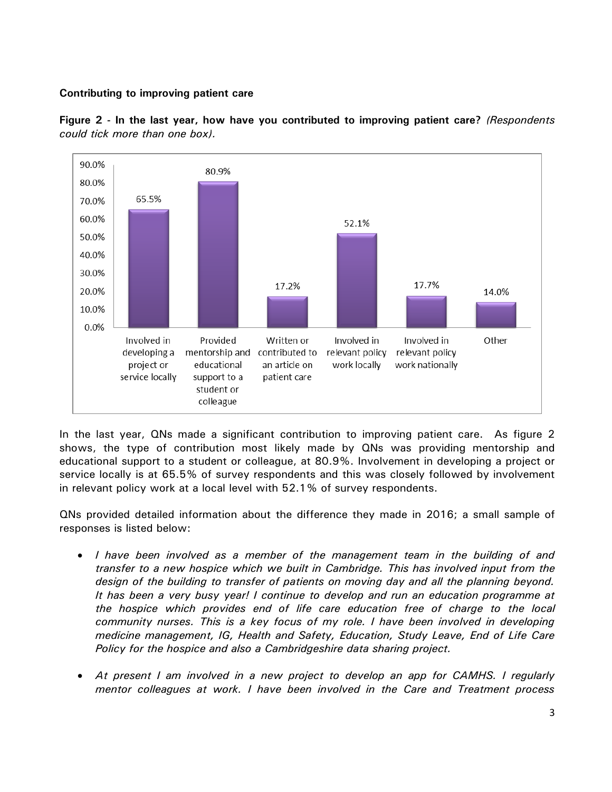## **Contributing to improving patient care**



**Figure 2 - In the last year, how have you contributed to improving patient care?** *(Respondents could tick more than one box).*

In the last year, QNs made a significant contribution to improving patient care. As figure 2 shows, the type of contribution most likely made by QNs was providing mentorship and educational support to a student or colleague, at 80.9%. Involvement in developing a project or service locally is at 65.5% of survey respondents and this was closely followed by involvement in relevant policy work at a local level with 52.1% of survey respondents.

QNs provided detailed information about the difference they made in 2016; a small sample of responses is listed below:

- *I have been involved as a member of the management team in the building of and transfer to a new hospice which we built in Cambridge. This has involved input from the design of the building to transfer of patients on moving day and all the planning beyond. It has been a very busy year! I continue to develop and run an education programme at the hospice which provides end of life care education free of charge to the local community nurses. This is a key focus of my role. I have been involved in developing medicine management, IG, Health and Safety, Education, Study Leave, End of Life Care Policy for the hospice and also a Cambridgeshire data sharing project.*
- At present I am involved in a new project to develop an app for CAMHS. I regularly *mentor colleagues at work. I have been involved in the Care and Treatment process*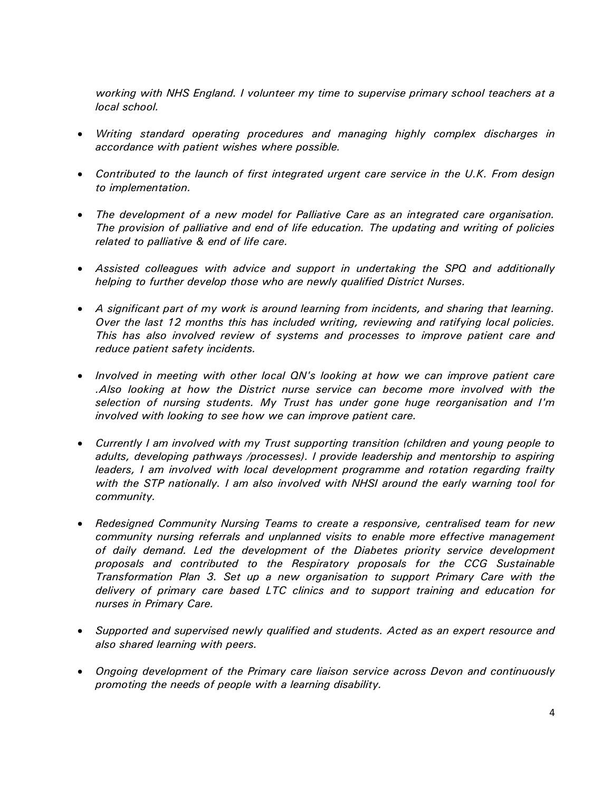*working with NHS England. I volunteer my time to supervise primary school teachers at a local school.*

- *Writing standard operating procedures and managing highly complex discharges in accordance with patient wishes where possible.*
- *Contributed to the launch of first integrated urgent care service in the U.K. From design to implementation.*
- *The development of a new model for Palliative Care as an integrated care organisation. The provision of palliative and end of life education. The updating and writing of policies related to palliative & end of life care.*
- *Assisted colleagues with advice and support in undertaking the SPQ and additionally helping to further develop those who are newly qualified District Nurses.*
- *A significant part of my work is around learning from incidents, and sharing that learning. Over the last 12 months this has included writing, reviewing and ratifying local policies. This has also involved review of systems and processes to improve patient care and reduce patient safety incidents.*
- *Involved in meeting with other local QN's looking at how we can improve patient care .Also looking at how the District nurse service can become more involved with the selection of nursing students. My Trust has under gone huge reorganisation and I'm involved with looking to see how we can improve patient care.*
- *Currently I am involved with my Trust supporting transition (children and young people to adults, developing pathways /processes). I provide leadership and mentorship to aspiring leaders, I am involved with local development programme and rotation regarding frailty with the STP nationally. I am also involved with NHSI around the early warning tool for community.*
- *Redesigned Community Nursing Teams to create a responsive, centralised team for new community nursing referrals and unplanned visits to enable more effective management of daily demand. Led the development of the Diabetes priority service development proposals and contributed to the Respiratory proposals for the CCG Sustainable Transformation Plan 3. Set up a new organisation to support Primary Care with the delivery of primary care based LTC clinics and to support training and education for nurses in Primary Care.*
- *Supported and supervised newly qualified and students. Acted as an expert resource and also shared learning with peers.*
- *Ongoing development of the Primary care liaison service across Devon and continuously promoting the needs of people with a learning disability.*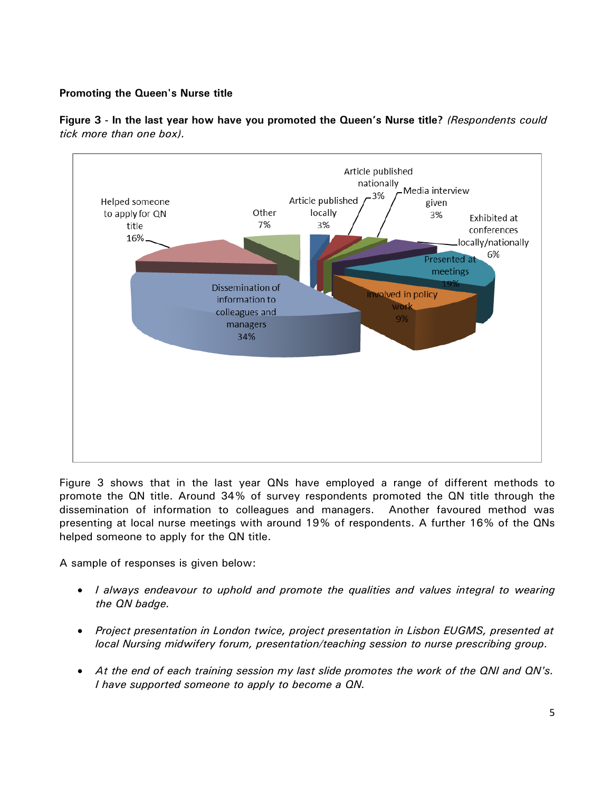## **Promoting the Queen's Nurse title**



**Figure 3 - In the last year how have you promoted the Queen's Nurse title?** *(Respondents could tick more than one box).*

Figure 3 shows that in the last year QNs have employed a range of different methods to promote the QN title. Around 34% of survey respondents promoted the QN title through the dissemination of information to colleagues and managers. Another favoured method was presenting at local nurse meetings with around 19% of respondents. A further 16% of the QNs helped someone to apply for the QN title.

A sample of responses is given below:

- *I always endeavour to uphold and promote the qualities and values integral to wearing the QN badge.*
- *Project presentation in London twice, project presentation in Lisbon EUGMS, presented at local Nursing midwifery forum, presentation/teaching session to nurse prescribing group.*
- *At the end of each training session my last slide promotes the work of the QNI and QN's. I have supported someone to apply to become a QN.*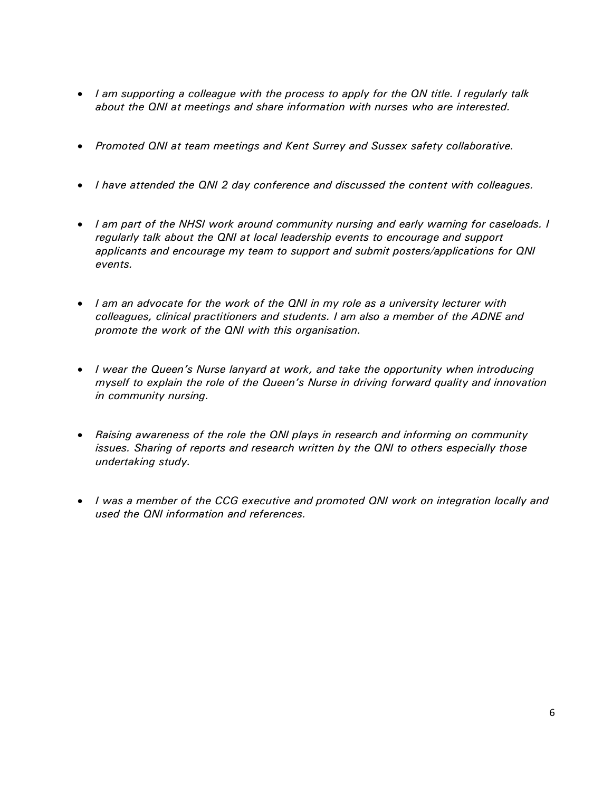- *I am supporting a colleague with the process to apply for the QN title. I regularly talk about the QNI at meetings and share information with nurses who are interested.*
- *Promoted QNI at team meetings and Kent Surrey and Sussex safety collaborative.*
- *I have attended the QNI 2 day conference and discussed the content with colleagues.*
- *I am part of the NHSI work around community nursing and early warning for caseloads. I regularly talk about the QNI at local leadership events to encourage and support applicants and encourage my team to support and submit posters/applications for QNI events.*
- *I am an advocate for the work of the QNI in my role as a university lecturer with colleagues, clinical practitioners and students. I am also a member of the ADNE and promote the work of the QNI with this organisation.*
- *I wear the Queen's Nurse lanyard at work, and take the opportunity when introducing myself to explain the role of the Queen's Nurse in driving forward quality and innovation in community nursing.*
- *Raising awareness of the role the QNI plays in research and informing on community issues. Sharing of reports and research written by the QNI to others especially those undertaking study.*
- *I was a member of the CCG executive and promoted QNI work on integration locally and used the QNI information and references.*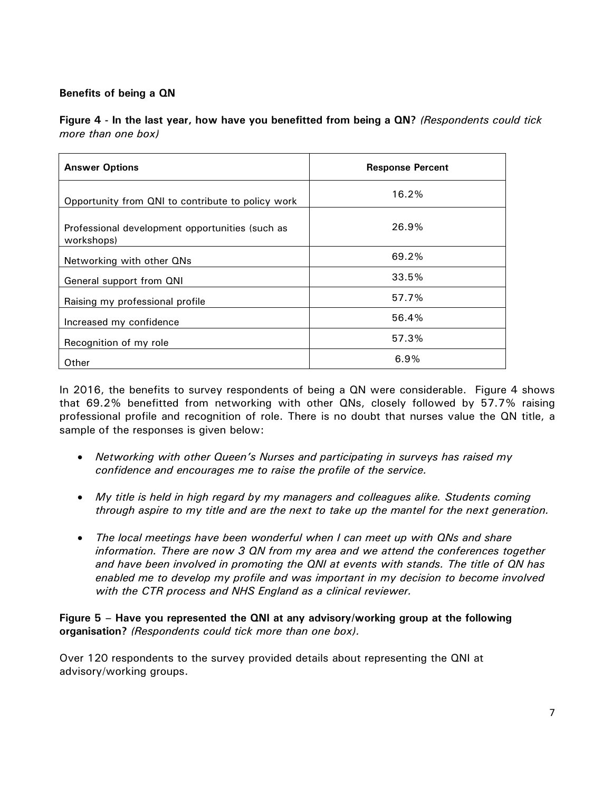# **Benefits of being a QN**

**Figure 4 - In the last year, how have you benefitted from being a QN?** *(Respondents could tick more than one box)*

| <b>Answer Options</b>                                         | <b>Response Percent</b> |
|---------------------------------------------------------------|-------------------------|
| Opportunity from QNI to contribute to policy work             | 16.2%                   |
| Professional development opportunities (such as<br>workshops) | 26.9%                   |
| Networking with other QNs                                     | 69.2%                   |
| General support from QNI                                      | 33.5%                   |
| Raising my professional profile                               | 57.7%                   |
| Increased my confidence                                       | 56.4%                   |
| Recognition of my role                                        | 57.3%                   |
| Other                                                         | 6.9%                    |

In 2016, the benefits to survey respondents of being a QN were considerable. Figure 4 shows that 69.2% benefitted from networking with other QNs, closely followed by 57.7% raising professional profile and recognition of role. There is no doubt that nurses value the QN title, a sample of the responses is given below:

- *Networking with other Queen's Nurses and participating in surveys has raised my confidence and encourages me to raise the profile of the service.*
- *My title is held in high regard by my managers and colleagues alike. Students coming through aspire to my title and are the next to take up the mantel for the next generation.*
- *The local meetings have been wonderful when I can meet up with QNs and share information. There are now 3 QN from my area and we attend the conferences together and have been involved in promoting the QNI at events with stands. The title of QN has enabled me to develop my profile and was important in my decision to become involved with the CTR process and NHS England as a clinical reviewer.*

**Figure 5 – Have you represented the QNI at any advisory/working group at the following organisation?** *(Respondents could tick more than one box).*

Over 120 respondents to the survey provided details about representing the QNI at advisory/working groups.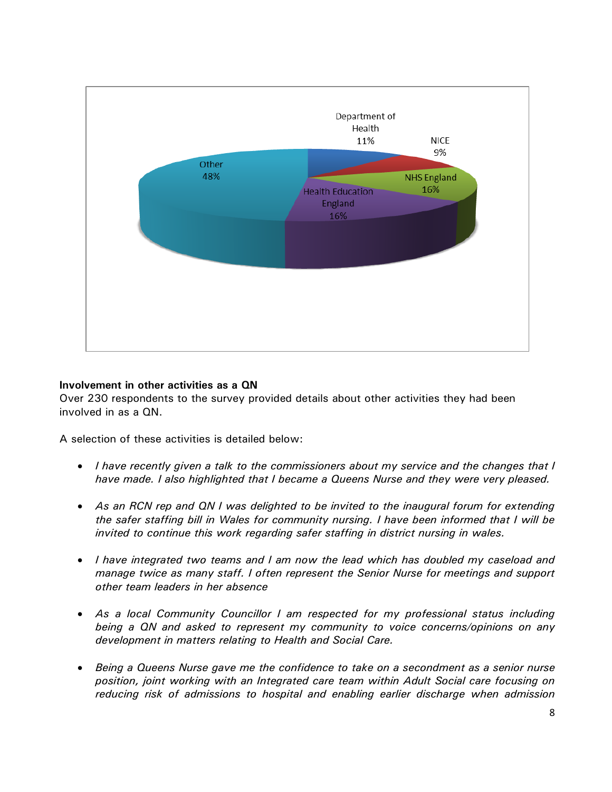

## **Involvement in other activities as a QN**

Over 230 respondents to the survey provided details about other activities they had been involved in as a QN.

A selection of these activities is detailed below:

- *I have recently given a talk to the commissioners about my service and the changes that I have made. I also highlighted that I became a Queens Nurse and they were very pleased.*
- *As an RCN rep and QN I was delighted to be invited to the inaugural forum for extending the safer staffing bill in Wales for community nursing. I have been informed that I will be invited to continue this work regarding safer staffing in district nursing in wales.*
- *I have integrated two teams and I am now the lead which has doubled my caseload and manage twice as many staff. I often represent the Senior Nurse for meetings and support other team leaders in her absence*
- *As a local Community Councillor I am respected for my professional status including being a QN and asked to represent my community to voice concerns/opinions on any development in matters relating to Health and Social Care.*
- *Being a Queens Nurse gave me the confidence to take on a secondment as a senior nurse position, joint working with an Integrated care team within Adult Social care focusing on reducing risk of admissions to hospital and enabling earlier discharge when admission*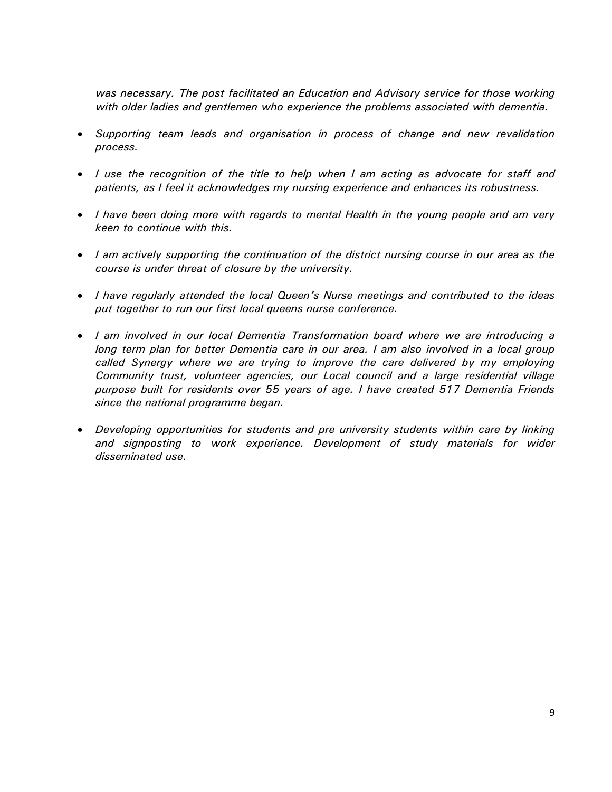*was necessary. The post facilitated an Education and Advisory service for those working with older ladies and gentlemen who experience the problems associated with dementia.*

- *Supporting team leads and organisation in process of change and new revalidation process.*
- *I use the recognition of the title to help when I am acting as advocate for staff and patients, as I feel it acknowledges my nursing experience and enhances its robustness.*
- *I have been doing more with regards to mental Health in the young people and am very keen to continue with this.*
- *I am actively supporting the continuation of the district nursing course in our area as the course is under threat of closure by the university.*
- *I have regularly attended the local Queen's Nurse meetings and contributed to the ideas put together to run our first local queens nurse conference.*
- *I am involved in our local Dementia Transformation board where we are introducing a long term plan for better Dementia care in our area. I am also involved in a local group*  called Synergy where we are trying to improve the care delivered by my employing *Community trust, volunteer agencies, our Local council and a large residential village purpose built for residents over 55 years of age. I have created 517 Dementia Friends since the national programme began.*
- *Developing opportunities for students and pre university students within care by linking and signposting to work experience. Development of study materials for wider disseminated use.*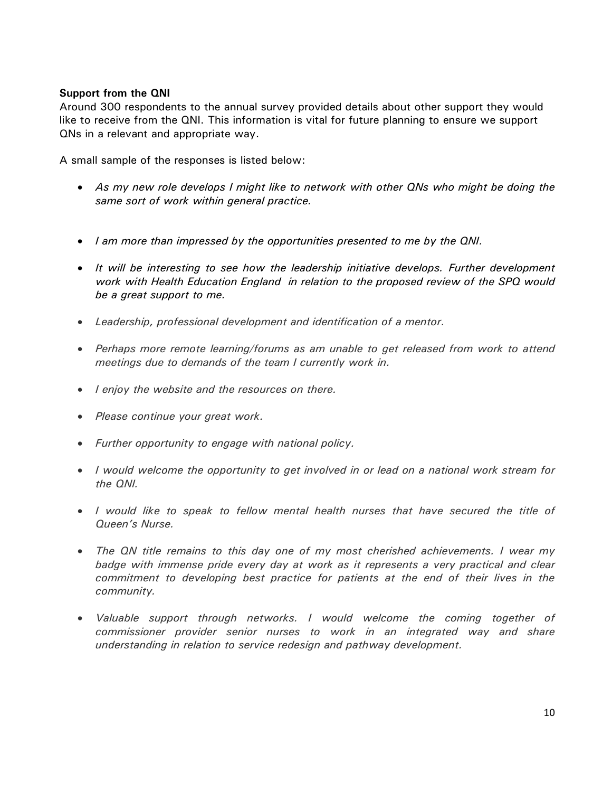## **Support from the QNI**

Around 300 respondents to the annual survey provided details about other support they would like to receive from the QNI. This information is vital for future planning to ensure we support QNs in a relevant and appropriate way.

A small sample of the responses is listed below:

- *As my new role develops I might like to network with other QNs who might be doing the same sort of work within general practice.*
- *I am more than impressed by the opportunities presented to me by the QNI.*
- *It will be interesting to see how the leadership initiative develops. Further development work with Health Education England in relation to the proposed review of the SPQ would be a great support to me.*
- *Leadership, professional development and identification of a mentor.*
- *Perhaps more remote learning/forums as am unable to get released from work to attend meetings due to demands of the team I currently work in.*
- *I enjoy the website and the resources on there.*
- *Please continue your great work.*
- *Further opportunity to engage with national policy.*
- *I would welcome the opportunity to get involved in or lead on a national work stream for the QNI.*
- *I would like to speak to fellow mental health nurses that have secured the title of Queen's Nurse.*
- *The QN title remains to this day one of my most cherished achievements. I wear my badge with immense pride every day at work as it represents a very practical and clear*  commitment to developing best practice for patients at the end of their lives in the *community.*
- *Valuable support through networks. I would welcome the coming together of commissioner provider senior nurses to work in an integrated way and share understanding in relation to service redesign and pathway development.*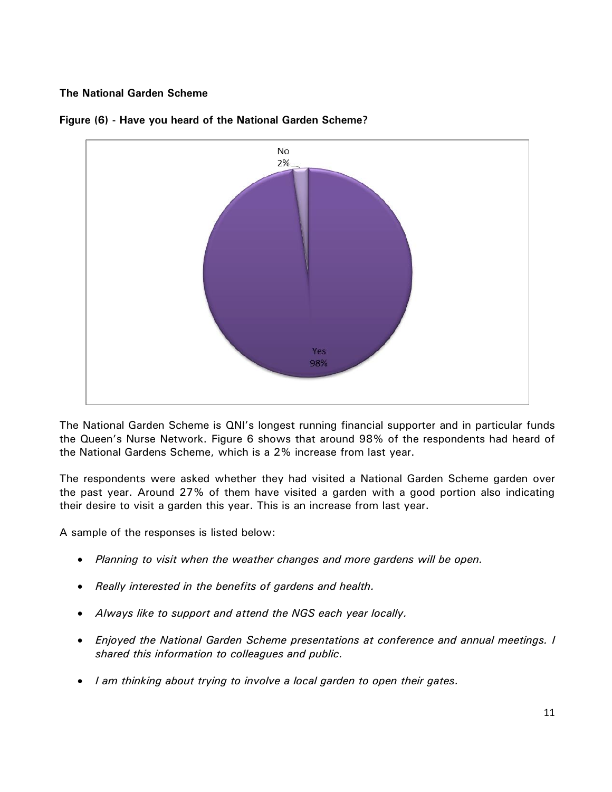## **The National Garden Scheme**



#### **Figure (6) - Have you heard of the National Garden Scheme?**

The National Garden Scheme is QNI's longest running financial supporter and in particular funds the Queen's Nurse Network. Figure 6 shows that around 98% of the respondents had heard of the National Gardens Scheme, which is a 2% increase from last year.

The respondents were asked whether they had visited a National Garden Scheme garden over the past year. Around 27% of them have visited a garden with a good portion also indicating their desire to visit a garden this year. This is an increase from last year.

A sample of the responses is listed below:

- *Planning to visit when the weather changes and more gardens will be open.*
- *Really interested in the benefits of gardens and health.*
- *Always like to support and attend the NGS each year locally.*
- *Enjoyed the National Garden Scheme presentations at conference and annual meetings. I shared this information to colleagues and public.*
- *I am thinking about trying to involve a local garden to open their gates.*